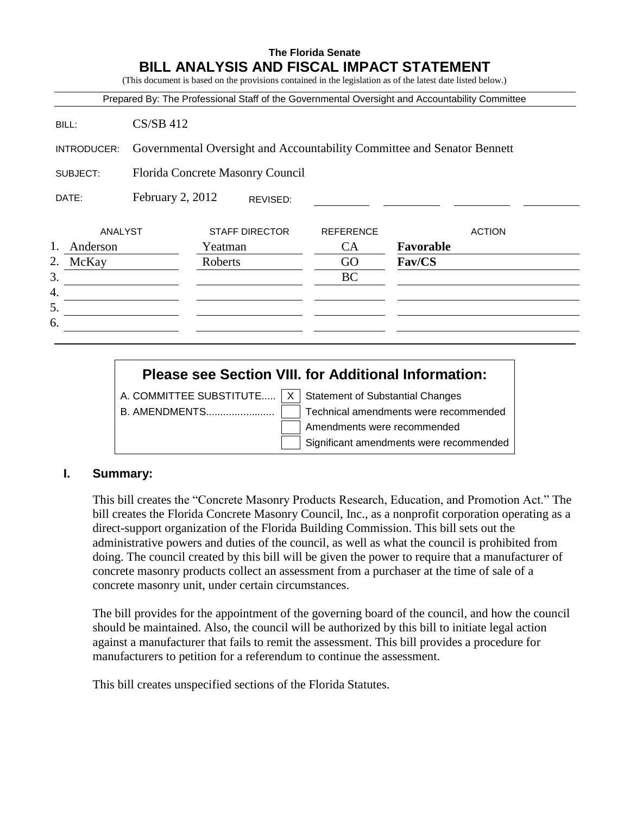### **The Florida Senate BILL ANALYSIS AND FISCAL IMPACT STATEMENT**

(This document is based on the provisions contained in the legislation as of the latest date listed below.)

|                                       |             |                                                                         |                  | Prepared By: The Professional Staff of the Governmental Oversight and Accountability Committee |
|---------------------------------------|-------------|-------------------------------------------------------------------------|------------------|------------------------------------------------------------------------------------------------|
| BILL:                                 | $CS/SB$ 412 |                                                                         |                  |                                                                                                |
| INTRODUCER:                           |             | Governmental Oversight and Accountability Committee and Senator Bennett |                  |                                                                                                |
| SUBJECT:                              |             | Florida Concrete Masonry Council                                        |                  |                                                                                                |
| February 2, 2012<br>DATE:<br>REVISED: |             |                                                                         |                  |                                                                                                |
|                                       | ANALYST     | <b>STAFF DIRECTOR</b>                                                   | <b>REFERENCE</b> | <b>ACTION</b>                                                                                  |
| 1.<br>Anderson                        |             | Yeatman                                                                 | <b>CA</b>        | Favorable                                                                                      |
| 2.<br>McKay                           |             | Roberts                                                                 | GO               | Fav/CS                                                                                         |
|                                       |             |                                                                         | BC               |                                                                                                |
| 4.                                    |             |                                                                         |                  |                                                                                                |
| 5.                                    |             |                                                                         |                  |                                                                                                |
| 6.                                    |             |                                                                         |                  |                                                                                                |

# **Please see Section VIII. for Additional Information:**

A. COMMITTEE SUBSTITUTE.....  $X \mid$  Statement of Substantial Changes

B. AMENDMENTS........................ Technical amendments were recommended Amendments were recommended Significant amendments were recommended

#### **I. Summary:**

This bill creates the "Concrete Masonry Products Research, Education, and Promotion Act." The bill creates the Florida Concrete Masonry Council, Inc., as a nonprofit corporation operating as a direct-support organization of the Florida Building Commission. This bill sets out the administrative powers and duties of the council, as well as what the council is prohibited from doing. The council created by this bill will be given the power to require that a manufacturer of concrete masonry products collect an assessment from a purchaser at the time of sale of a concrete masonry unit, under certain circumstances.

The bill provides for the appointment of the governing board of the council, and how the council should be maintained. Also, the council will be authorized by this bill to initiate legal action against a manufacturer that fails to remit the assessment. This bill provides a procedure for manufacturers to petition for a referendum to continue the assessment.

This bill creates unspecified sections of the Florida Statutes.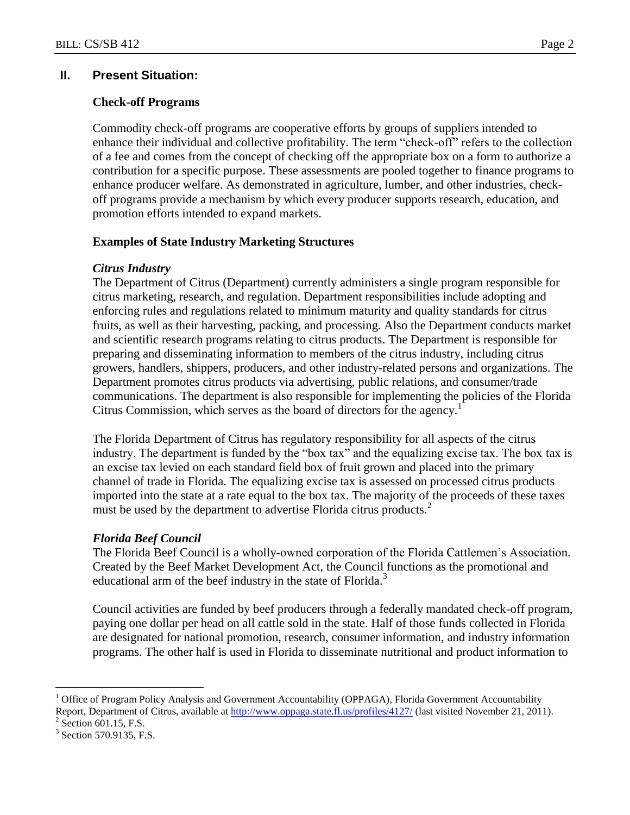### **II. Present Situation:**

### **Check-off Programs**

Commodity check-off programs are cooperative efforts by groups of suppliers intended to enhance their individual and collective profitability. The term "check-off" refers to the collection of a fee and comes from the concept of checking off the appropriate box on a form to authorize a contribution for a specific purpose. These assessments are pooled together to finance programs to enhance producer welfare. As demonstrated in agriculture, lumber, and other industries, checkoff programs provide a mechanism by which every producer supports research, education, and promotion efforts intended to expand markets.

### **Examples of State Industry Marketing Structures**

### *Citrus Industry*

The Department of Citrus (Department) currently administers a single program responsible for citrus marketing, research, and regulation. Department responsibilities include adopting and enforcing rules and regulations related to minimum maturity and quality standards for citrus fruits, as well as their harvesting, packing, and processing. Also the Department conducts market and scientific research programs relating to citrus products. The Department is responsible for preparing and disseminating information to members of the citrus industry, including citrus growers, handlers, shippers, producers, and other industry-related persons and organizations. The Department promotes citrus products via advertising, public relations, and consumer/trade communications. The department is also responsible for implementing the policies of the Florida Citrus Commission, which serves as the board of directors for the agency.<sup>1</sup>

The Florida Department of Citrus has regulatory responsibility for all aspects of the citrus industry. The department is funded by the "box tax" and the equalizing excise tax. The box tax is an excise tax levied on each standard field box of fruit grown and placed into the primary channel of trade in Florida. The equalizing excise tax is assessed on processed citrus products imported into the state at a rate equal to the box tax. The majority of the proceeds of these taxes must be used by the department to advertise Florida citrus products.<sup>2</sup>

### *Florida Beef Council*

The Florida Beef Council is a wholly-owned corporation of the Florida Cattlemen's Association. Created by the Beef Market Development Act, the Council functions as the promotional and educational arm of the beef industry in the state of Florida.<sup>3</sup>

Council activities are funded by beef producers through a federally mandated check-off program, paying one dollar per head on all cattle sold in the state. Half of those funds collected in Florida are designated for national promotion, research, consumer information, and industry information programs. The other half is used in Florida to disseminate nutritional and product information to

 $\overline{a}$ 

<sup>1</sup> Office of Program Policy Analysis and Government Accountability (OPPAGA), Florida Government Accountability Report, Department of Citrus, available at <http://www.oppaga.state.fl.us/profiles/4127/> (last visited November 21, 2011).

 $2$  Section 601.15, F.S.

<sup>&</sup>lt;sup>3</sup> Section 570.9135, F.S.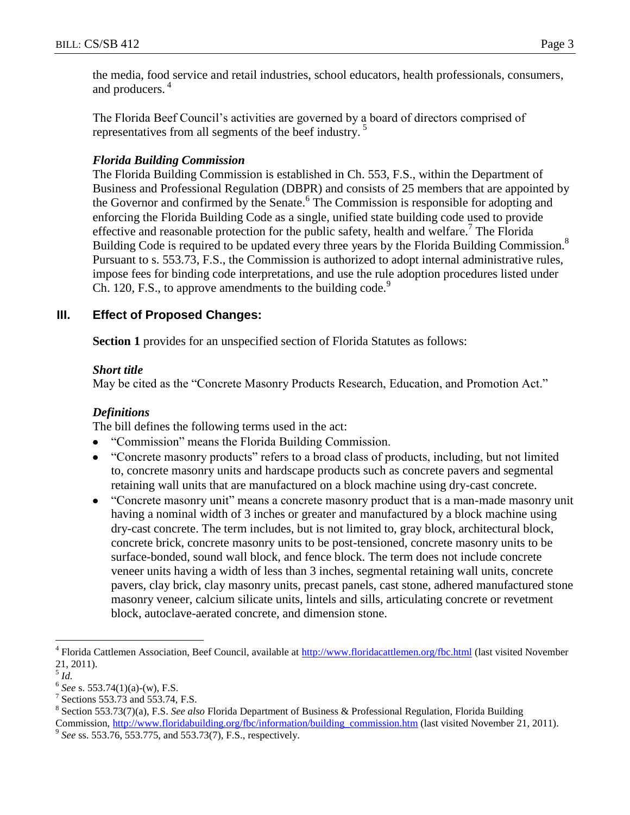the media, food service and retail industries, school educators, health professionals, consumers, and producers.<sup>4</sup>

The Florida Beef Council's activities are governed by a board of directors comprised of representatives from all segments of the beef industry.<sup>5</sup>

### *Florida Building Commission*

The Florida Building Commission is established in Ch. 553, F.S., within the Department of Business and Professional Regulation (DBPR) and consists of 25 members that are appointed by the Governor and confirmed by the Senate.<sup>6</sup> The Commission is responsible for adopting and enforcing the Florida Building Code as a single, unified state building code used to provide effective and reasonable protection for the public safety, health and welfare.<sup>7</sup> The Florida Building Code is required to be updated every three years by the Florida Building Commission.<sup>8</sup> Pursuant to s. 553.73, F.S., the Commission is authorized to adopt internal administrative rules, impose fees for binding code interpretations, and use the rule adoption procedures listed under Ch. 120, F.S., to approve amendments to the building code.<sup>9</sup>

# **III. Effect of Proposed Changes:**

**Section 1** provides for an unspecified section of Florida Statutes as follows:

### *Short title*

May be cited as the "Concrete Masonry Products Research, Education, and Promotion Act."

# *Definitions*

The bill defines the following terms used in the act:

- "Commission" means the Florida Building Commission.  $\bullet$
- "Concrete masonry products" refers to a broad class of products, including, but not limited to, concrete masonry units and hardscape products such as concrete pavers and segmental retaining wall units that are manufactured on a block machine using dry-cast concrete.
- "Concrete masonry unit" means a concrete masonry product that is a man-made masonry unit having a nominal width of 3 inches or greater and manufactured by a block machine using dry-cast concrete. The term includes, but is not limited to, gray block, architectural block, concrete brick, concrete masonry units to be post-tensioned, concrete masonry units to be surface-bonded, sound wall block, and fence block. The term does not include concrete veneer units having a width of less than 3 inches, segmental retaining wall units, concrete pavers, clay brick, clay masonry units, precast panels, cast stone, adhered manufactured stone masonry veneer, calcium silicate units, lintels and sills, articulating concrete or revetment block, autoclave-aerated concrete, and dimension stone.

 $\overline{a}$ 

<sup>4</sup> Florida Cattlemen Association, Beef Council, available at<http://www.floridacattlemen.org/fbc.html> (last visited November 21, 2011).

<sup>5</sup> *Id.*

<sup>6</sup> *See* s. 553.74(1)(a)-(w), F.S.

<sup>7</sup> Sections 553.73 and 553.74, F.S.

<sup>8</sup> Section 553.73(7)(a), F.S. *See also* Florida Department of Business & Professional Regulation, Florida Building Commission, [http://www.floridabuilding.org/fbc/information/building\\_commission.htm](http://www.floridabuilding.org/fbc/information/building_commission.htm) (last visited November 21, 2011).

<sup>&</sup>lt;sup>9</sup> See ss. 553.76, 553.775, and 553.73(7), F.S., respectively.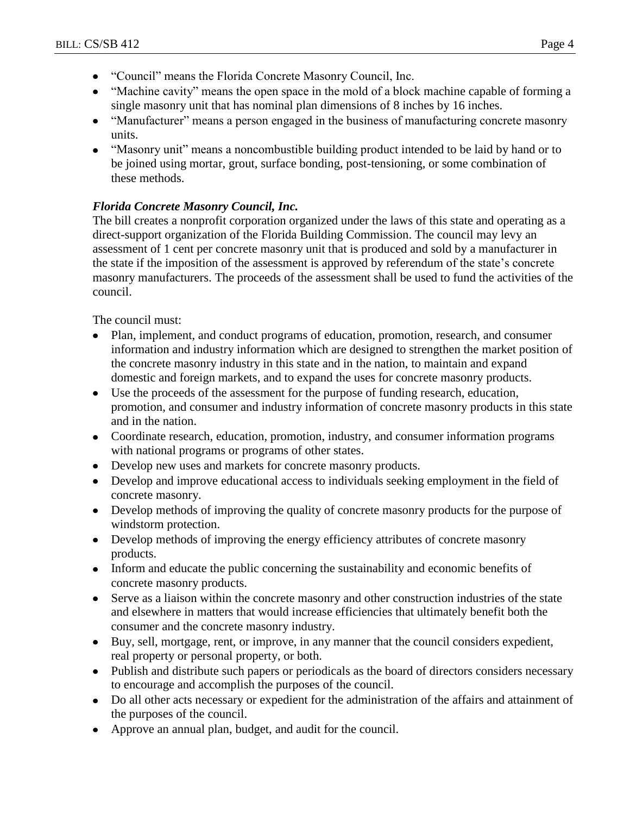- "Council" means the Florida Concrete Masonry Council, Inc.
- "Machine cavity" means the open space in the mold of a block machine capable of forming a single masonry unit that has nominal plan dimensions of 8 inches by 16 inches.
- "Manufacturer" means a person engaged in the business of manufacturing concrete masonry units.
- "Masonry unit" means a noncombustible building product intended to be laid by hand or to be joined using mortar, grout, surface bonding, post-tensioning, or some combination of these methods.

### *Florida Concrete Masonry Council, Inc.*

The bill creates a nonprofit corporation organized under the laws of this state and operating as a direct-support organization of the Florida Building Commission. The council may levy an assessment of 1 cent per concrete masonry unit that is produced and sold by a manufacturer in the state if the imposition of the assessment is approved by referendum of the state's concrete masonry manufacturers. The proceeds of the assessment shall be used to fund the activities of the council.

The council must:

- Plan, implement, and conduct programs of education, promotion, research, and consumer  $\bullet$ information and industry information which are designed to strengthen the market position of the concrete masonry industry in this state and in the nation, to maintain and expand domestic and foreign markets, and to expand the uses for concrete masonry products.
- Use the proceeds of the assessment for the purpose of funding research, education, promotion, and consumer and industry information of concrete masonry products in this state and in the nation.
- Coordinate research, education, promotion, industry, and consumer information programs with national programs or programs of other states.
- Develop new uses and markets for concrete masonry products.
- Develop and improve educational access to individuals seeking employment in the field of concrete masonry.
- Develop methods of improving the quality of concrete masonry products for the purpose of windstorm protection.
- Develop methods of improving the energy efficiency attributes of concrete masonry products.
- Inform and educate the public concerning the sustainability and economic benefits of concrete masonry products.
- Serve as a liaison within the concrete masonry and other construction industries of the state and elsewhere in matters that would increase efficiencies that ultimately benefit both the consumer and the concrete masonry industry.
- Buy, sell, mortgage, rent, or improve, in any manner that the council considers expedient, real property or personal property, or both.
- Publish and distribute such papers or periodicals as the board of directors considers necessary to encourage and accomplish the purposes of the council.
- Do all other acts necessary or expedient for the administration of the affairs and attainment of the purposes of the council.
- Approve an annual plan, budget, and audit for the council.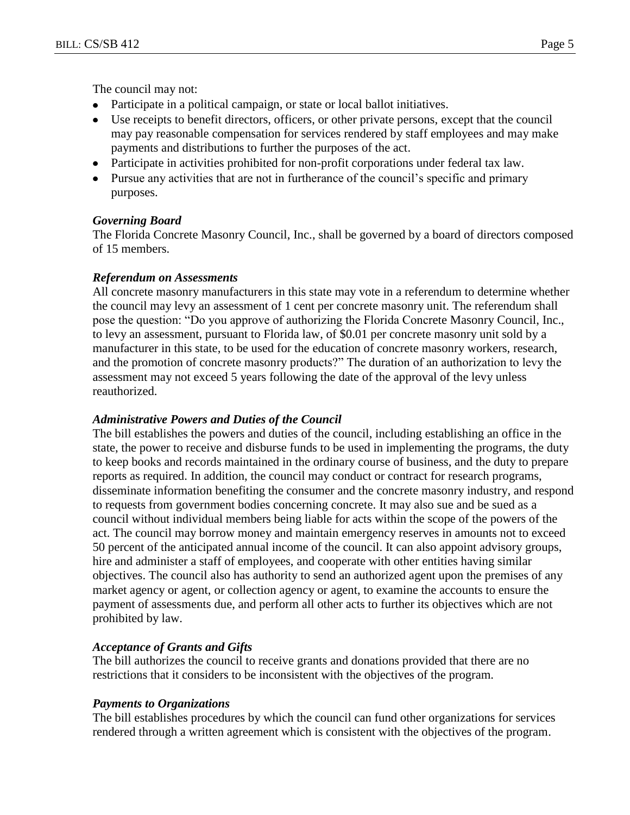- Participate in a political campaign, or state or local ballot initiatives.  $\bullet$
- Use receipts to benefit directors, officers, or other private persons, except that the council  $\bullet$ may pay reasonable compensation for services rendered by staff employees and may make payments and distributions to further the purposes of the act.
- Participate in activities prohibited for non-profit corporations under federal tax law.
- Pursue any activities that are not in furtherance of the council's specific and primary purposes.

### *Governing Board*

The Florida Concrete Masonry Council, Inc., shall be governed by a board of directors composed of 15 members.

### *Referendum on Assessments*

All concrete masonry manufacturers in this state may vote in a referendum to determine whether the council may levy an assessment of 1 cent per concrete masonry unit. The referendum shall pose the question: "Do you approve of authorizing the Florida Concrete Masonry Council, Inc., to levy an assessment, pursuant to Florida law, of \$0.01 per concrete masonry unit sold by a manufacturer in this state, to be used for the education of concrete masonry workers, research, and the promotion of concrete masonry products?" The duration of an authorization to levy the assessment may not exceed 5 years following the date of the approval of the levy unless reauthorized.

# *Administrative Powers and Duties of the Council*

The bill establishes the powers and duties of the council, including establishing an office in the state, the power to receive and disburse funds to be used in implementing the programs, the duty to keep books and records maintained in the ordinary course of business, and the duty to prepare reports as required. In addition, the council may conduct or contract for research programs, disseminate information benefiting the consumer and the concrete masonry industry, and respond to requests from government bodies concerning concrete. It may also sue and be sued as a council without individual members being liable for acts within the scope of the powers of the act. The council may borrow money and maintain emergency reserves in amounts not to exceed 50 percent of the anticipated annual income of the council. It can also appoint advisory groups, hire and administer a staff of employees, and cooperate with other entities having similar objectives. The council also has authority to send an authorized agent upon the premises of any market agency or agent, or collection agency or agent, to examine the accounts to ensure the payment of assessments due, and perform all other acts to further its objectives which are not prohibited by law.

# *Acceptance of Grants and Gifts*

The bill authorizes the council to receive grants and donations provided that there are no restrictions that it considers to be inconsistent with the objectives of the program.

### *Payments to Organizations*

The bill establishes procedures by which the council can fund other organizations for services rendered through a written agreement which is consistent with the objectives of the program.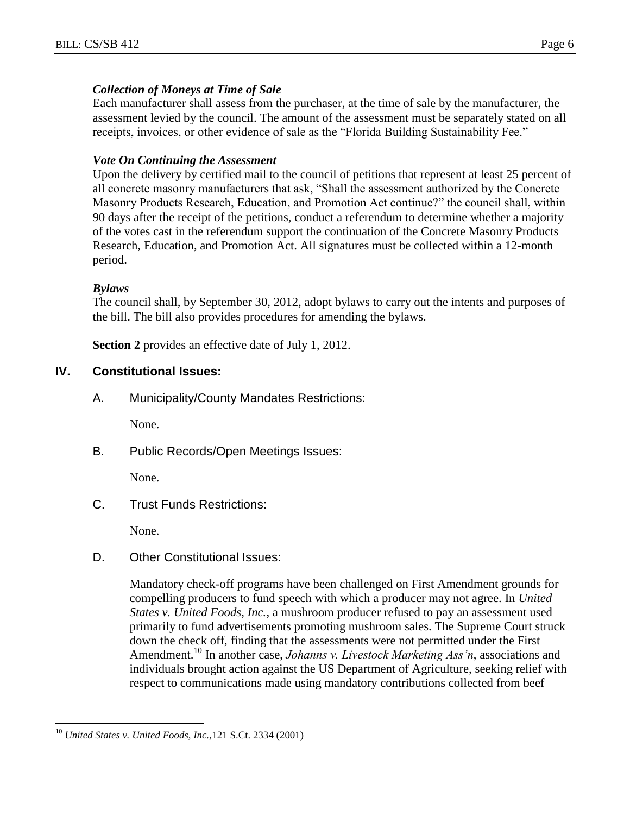### *Collection of Moneys at Time of Sale*

Each manufacturer shall assess from the purchaser, at the time of sale by the manufacturer, the assessment levied by the council. The amount of the assessment must be separately stated on all receipts, invoices, or other evidence of sale as the "Florida Building Sustainability Fee."

#### *Vote On Continuing the Assessment*

Upon the delivery by certified mail to the council of petitions that represent at least 25 percent of all concrete masonry manufacturers that ask, "Shall the assessment authorized by the Concrete Masonry Products Research, Education, and Promotion Act continue?" the council shall, within 90 days after the receipt of the petitions, conduct a referendum to determine whether a majority of the votes cast in the referendum support the continuation of the Concrete Masonry Products Research, Education, and Promotion Act. All signatures must be collected within a 12-month period.

#### *Bylaws*

The council shall, by September 30, 2012, adopt bylaws to carry out the intents and purposes of the bill. The bill also provides procedures for amending the bylaws.

**Section 2** provides an effective date of July 1, 2012.

### **IV. Constitutional Issues:**

A. Municipality/County Mandates Restrictions:

None.

B. Public Records/Open Meetings Issues:

None.

C. Trust Funds Restrictions:

None.

D. Other Constitutional Issues:

Mandatory check-off programs have been challenged on First Amendment grounds for compelling producers to fund speech with which a producer may not agree. In *United States v. United Foods, Inc.*, a mushroom producer refused to pay an assessment used primarily to fund advertisements promoting mushroom sales. The Supreme Court struck down the check off, finding that the assessments were not permitted under the First Amendment.<sup>10</sup> In another case, *Johanns v. Livestock Marketing Ass'n*, associations and individuals brought action against the US Department of Agriculture, seeking relief with respect to communications made using mandatory contributions collected from beef

 $\overline{a}$ 

<sup>10</sup> *United States v. United Foods, Inc.,*121 S.Ct. 2334 (2001)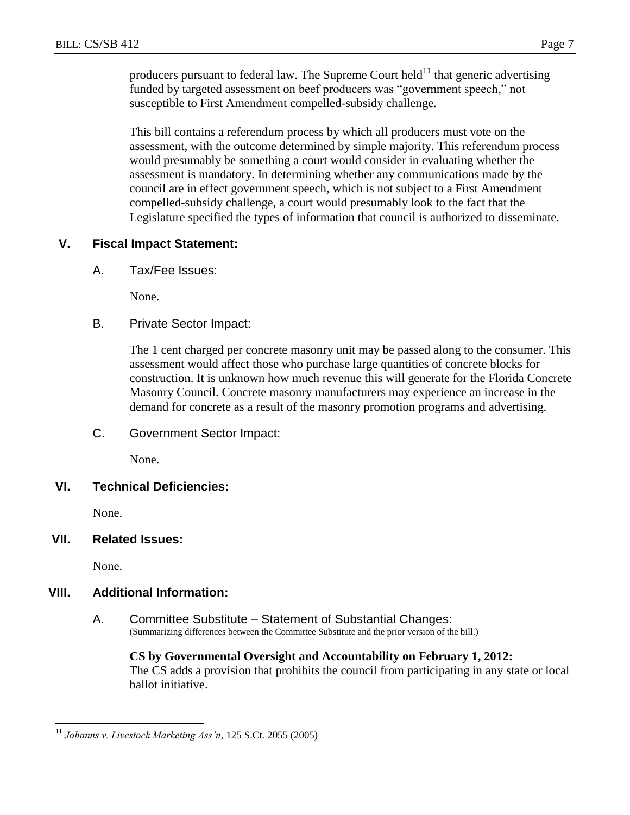producers pursuant to federal law. The Supreme Court held $11$  that generic advertising funded by targeted assessment on beef producers was "government speech," not susceptible to First Amendment compelled-subsidy challenge.

This bill contains a referendum process by which all producers must vote on the assessment, with the outcome determined by simple majority. This referendum process would presumably be something a court would consider in evaluating whether the assessment is mandatory. In determining whether any communications made by the council are in effect government speech, which is not subject to a First Amendment compelled-subsidy challenge, a court would presumably look to the fact that the Legislature specified the types of information that council is authorized to disseminate.

### **V. Fiscal Impact Statement:**

A. Tax/Fee Issues:

None.

B. Private Sector Impact:

The 1 cent charged per concrete masonry unit may be passed along to the consumer. This assessment would affect those who purchase large quantities of concrete blocks for construction. It is unknown how much revenue this will generate for the Florida Concrete Masonry Council. Concrete masonry manufacturers may experience an increase in the demand for concrete as a result of the masonry promotion programs and advertising.

C. Government Sector Impact:

None.

### **VI. Technical Deficiencies:**

None.

#### **VII. Related Issues:**

None.

# **VIII. Additional Information:**

A. Committee Substitute – Statement of Substantial Changes: (Summarizing differences between the Committee Substitute and the prior version of the bill.)

# **CS by Governmental Oversight and Accountability on February 1, 2012:**

The CS adds a provision that prohibits the council from participating in any state or local ballot initiative.

 $\overline{a}$ <sup>11</sup> *Johanns v. Livestock Marketing Ass'n*, 125 S.Ct. 2055 (2005)